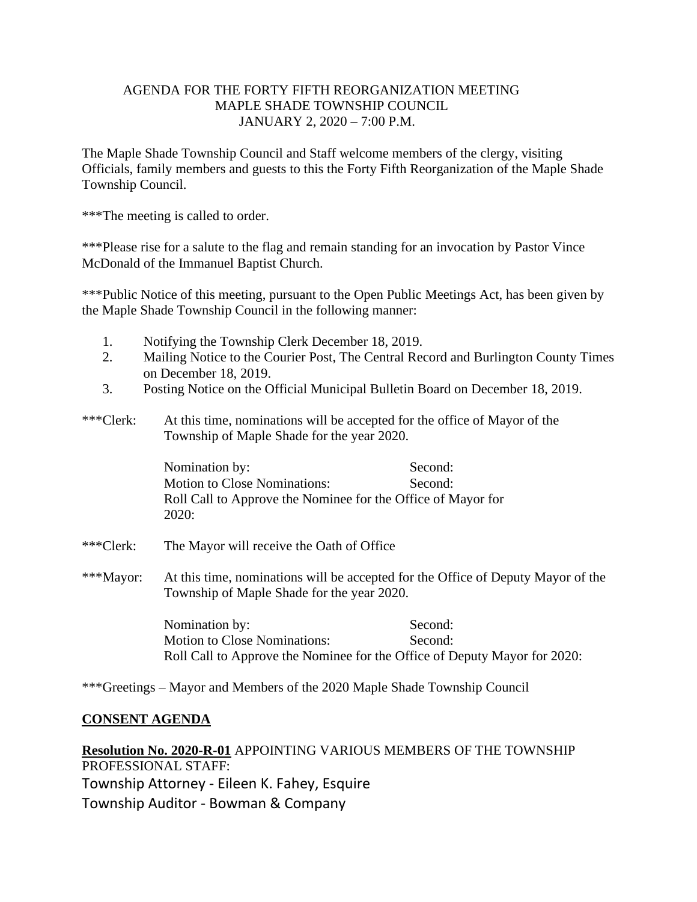# AGENDA FOR THE FORTY FIFTH REORGANIZATION MEETING MAPLE SHADE TOWNSHIP COUNCIL JANUARY 2, 2020 – 7:00 P.M.

The Maple Shade Township Council and Staff welcome members of the clergy, visiting Officials, family members and guests to this the Forty Fifth Reorganization of the Maple Shade Township Council.

\*\*\*The meeting is called to order.

\*\*\*Please rise for a salute to the flag and remain standing for an invocation by Pastor Vince McDonald of the Immanuel Baptist Church.

\*\*\*Public Notice of this meeting, pursuant to the Open Public Meetings Act, has been given by the Maple Shade Township Council in the following manner:

- 1. Notifying the Township Clerk December 18, 2019.
- 2. Mailing Notice to the Courier Post, The Central Record and Burlington County Times on December 18, 2019.
- 3. Posting Notice on the Official Municipal Bulletin Board on December 18, 2019.
- \*\*\*Clerk: At this time, nominations will be accepted for the office of Mayor of the Township of Maple Shade for the year 2020.

Nomination by: Second: Motion to Close Nominations: Second: Roll Call to Approve the Nominee for the Office of Mayor for 2020:

- \*\*\*Clerk: The Mayor will receive the Oath of Office
- \*\*\*Mayor: At this time, nominations will be accepted for the Office of Deputy Mayor of the Township of Maple Shade for the year 2020.

Nomination by: Second: Motion to Close Nominations: Second: Roll Call to Approve the Nominee for the Office of Deputy Mayor for 2020:

\*\*\*Greetings – Mayor and Members of the 2020 Maple Shade Township Council

# **CONSENT AGENDA**

**Resolution No. 2020-R-01** APPOINTING VARIOUS MEMBERS OF THE TOWNSHIP PROFESSIONAL STAFF: Township Attorney - Eileen K. Fahey, Esquire Township Auditor - Bowman & Company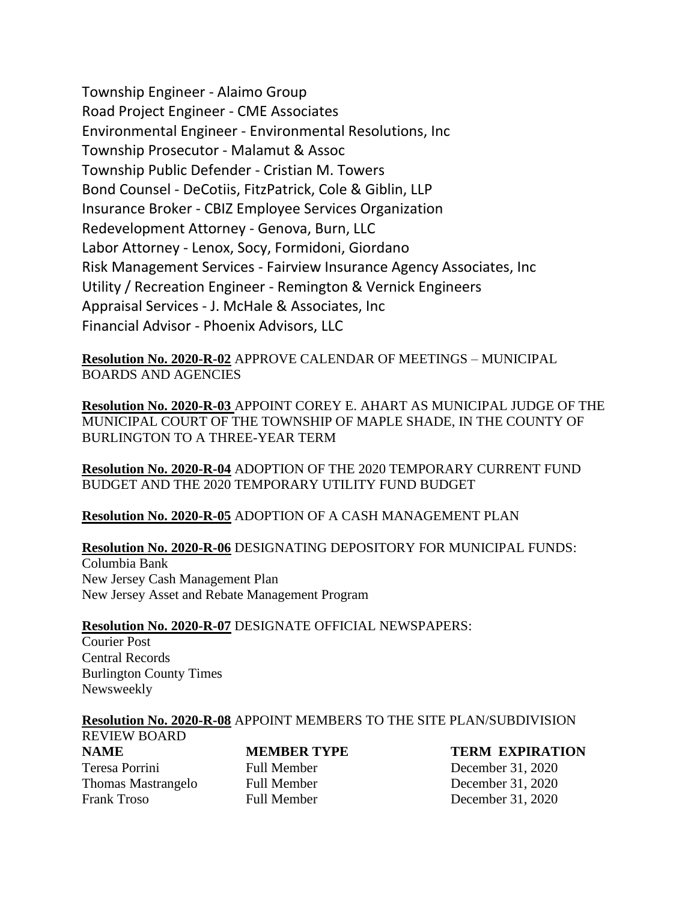Township Engineer - Alaimo Group Road Project Engineer - CME Associates Environmental Engineer - Environmental Resolutions, Inc Township Prosecutor - Malamut & Assoc Township Public Defender - Cristian M. Towers Bond Counsel - DeCotiis, FitzPatrick, Cole & Giblin, LLP Insurance Broker - CBIZ Employee Services Organization Redevelopment Attorney - Genova, Burn, LLC Labor Attorney - Lenox, Socy, Formidoni, Giordano Risk Management Services - Fairview Insurance Agency Associates, Inc Utility / Recreation Engineer - Remington & Vernick Engineers Appraisal Services - J. McHale & Associates, Inc Financial Advisor - Phoenix Advisors, LLC

**Resolution No. 2020-R-02** APPROVE CALENDAR OF MEETINGS – MUNICIPAL BOARDS AND AGENCIES

**Resolution No. 2020-R-03** APPOINT COREY E. AHART AS MUNICIPAL JUDGE OF THE MUNICIPAL COURT OF THE TOWNSHIP OF MAPLE SHADE, IN THE COUNTY OF BURLINGTON TO A THREE-YEAR TERM

**Resolution No. 2020-R-04** ADOPTION OF THE 2020 TEMPORARY CURRENT FUND BUDGET AND THE 2020 TEMPORARY UTILITY FUND BUDGET

**Resolution No. 2020-R-05** ADOPTION OF A CASH MANAGEMENT PLAN

**Resolution No. 2020-R-06** DESIGNATING DEPOSITORY FOR MUNICIPAL FUNDS: Columbia Bank New Jersey Cash Management Plan New Jersey Asset and Rebate Management Program

# **Resolution No. 2020-R-07** DESIGNATE OFFICIAL NEWSPAPERS:

Courier Post Central Records Burlington County Times Newsweekly

### **Resolution No. 2020-R-08** APPOINT MEMBERS TO THE SITE PLAN/SUBDIVISION REVIEW BOARD

Teresa Porrini Full Member December 31, 2020 Thomas Mastrangelo Full Member December 31, 2020 Frank Troso Full Member December 31, 2020

**NAME MEMBER TYPE TERM EXPIRATION**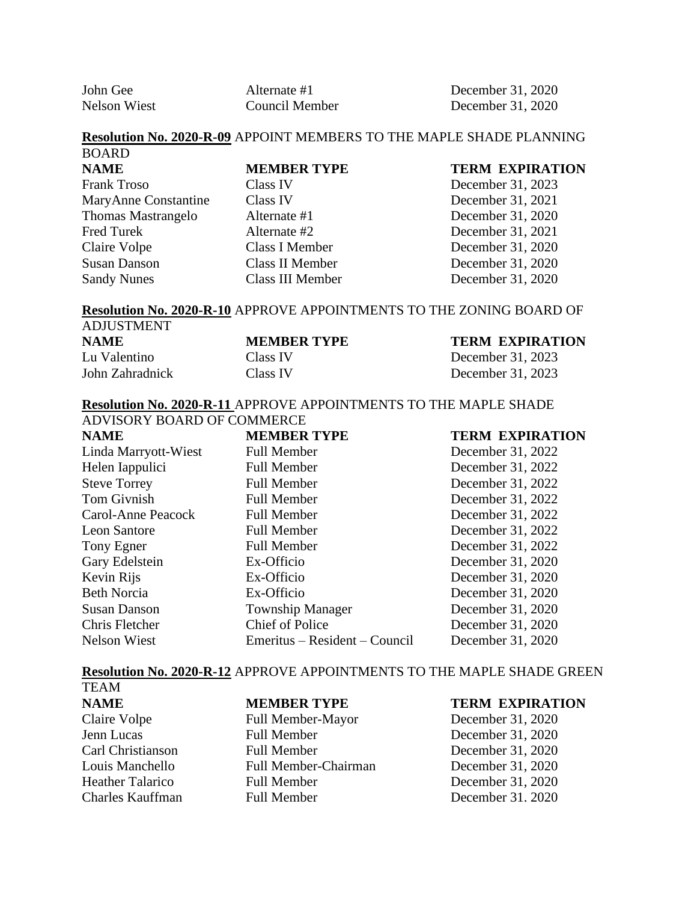| John Gee            | Alternate #1   | Decemb |
|---------------------|----------------|--------|
| <b>Nelson Wiest</b> | Council Member | Decemb |

John Ger 31, 2020 er 31, 2020

# **Resolution No. 2020-R-09** APPOINT MEMBERS TO THE MAPLE SHADE PLANNING

**NAME MEMBER TYPE TERM EXPIRATION** Frank Troso Class IV December 31, 2023 MaryAnne Constantine Class IV December 31, 2021 Thomas Mastrangelo Alternate #1 December 31, 2020 Fred Turek Alternate #2 December 31, 2021 Claire Volpe Class I Member December 31, 2020 Susan Danson Class II Member December 31, 2020 Sandy Nunes Class III Member December 31, 2020

BOARD

### **Resolution No. 2020-R-10** APPROVE APPOINTMENTS TO THE ZONING BOARD OF ADJUSTMENT

| TUUUUUIIIUUU       |                        |  |  |  |
|--------------------|------------------------|--|--|--|
| <b>MEMBER TYPE</b> | <b>TERM EXPIRATION</b> |  |  |  |
| Class IV           | December 31, 2023      |  |  |  |
| Class IV           | December 31, 2023      |  |  |  |
|                    |                        |  |  |  |

### **Resolution No. 2020-R-11** APPROVE APPOINTMENTS TO THE MAPLE SHADE ADVISORY BOARD OF COMMERCE

| <b>NAME</b>          | <b>MEMBER TYPE</b>            | <b>TERM EXPIRATION</b> |
|----------------------|-------------------------------|------------------------|
| Linda Marryott-Wiest | <b>Full Member</b>            | December 31, 2022      |
| Helen Iappulici      | <b>Full Member</b>            | December 31, 2022      |
| <b>Steve Torrey</b>  | <b>Full Member</b>            | December 31, 2022      |
| Tom Givnish          | <b>Full Member</b>            | December 31, 2022      |
| Carol-Anne Peacock   | <b>Full Member</b>            | December 31, 2022      |
| <b>Leon Santore</b>  | <b>Full Member</b>            | December 31, 2022      |
| Tony Egner           | <b>Full Member</b>            | December 31, 2022      |
| Gary Edelstein       | Ex-Officio                    | December 31, 2020      |
| Kevin Rijs           | Ex-Officio                    | December 31, 2020      |
| <b>Beth Norcia</b>   | Ex-Officio                    | December 31, 2020      |
| <b>Susan Danson</b>  | <b>Township Manager</b>       | December 31, 2020      |
| Chris Fletcher       | Chief of Police               | December 31, 2020      |
| <b>Nelson Wiest</b>  | Emeritus – Resident – Council | December 31, 2020      |

### **Resolution No. 2020-R-12** APPROVE APPOINTMENTS TO THE MAPLE SHADE GREEN

| <b>TEAM</b>             |                             |                        |
|-------------------------|-----------------------------|------------------------|
| <b>NAME</b>             | <b>MEMBER TYPE</b>          | <b>TERM EXPIRATION</b> |
| Claire Volpe            | Full Member-Mayor           | December 31, 2020      |
| Jenn Lucas              | <b>Full Member</b>          | December 31, 2020      |
| Carl Christianson       | <b>Full Member</b>          | December 31, 2020      |
| Louis Manchello         | <b>Full Member-Chairman</b> | December 31, 2020      |
| <b>Heather Talarico</b> | <b>Full Member</b>          | December 31, 2020      |
| <b>Charles Kauffman</b> | <b>Full Member</b>          | December 31. 2020      |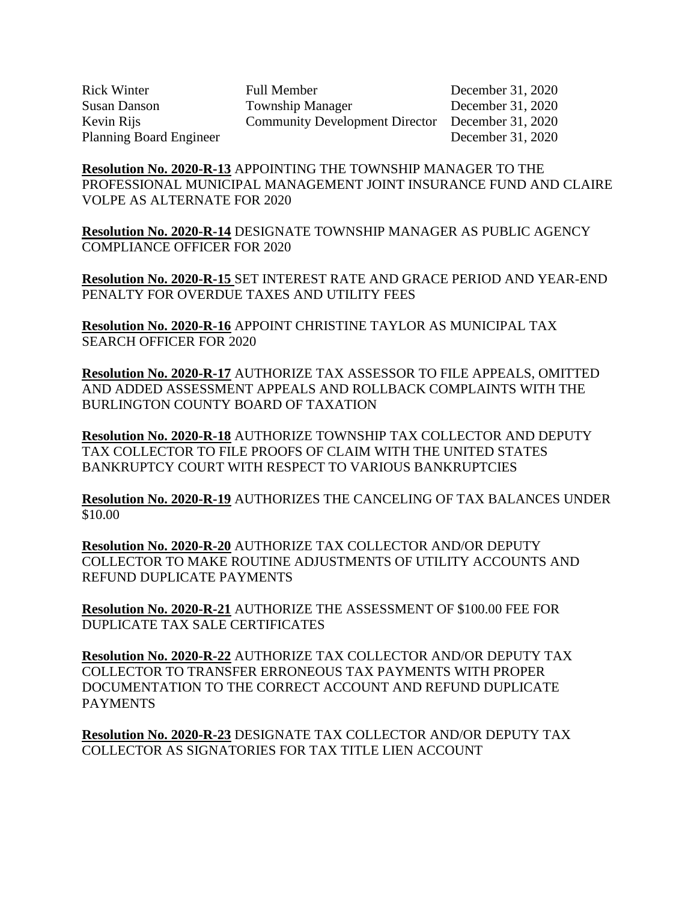Rick Winter Full Member December 31, 2020 Susan Danson Township Manager December 31, 2020 Kevin Rijs Community Development Director December 31, 2020 Planning Board Engineer December 31, 2020

**Resolution No. 2020-R-13** APPOINTING THE TOWNSHIP MANAGER TO THE PROFESSIONAL MUNICIPAL MANAGEMENT JOINT INSURANCE FUND AND CLAIRE VOLPE AS ALTERNATE FOR 2020

**Resolution No. 2020-R-14** DESIGNATE TOWNSHIP MANAGER AS PUBLIC AGENCY COMPLIANCE OFFICER FOR 2020

**Resolution No. 2020-R-15** SET INTEREST RATE AND GRACE PERIOD AND YEAR-END PENALTY FOR OVERDUE TAXES AND UTILITY FEES

**Resolution No. 2020-R-16** APPOINT CHRISTINE TAYLOR AS MUNICIPAL TAX SEARCH OFFICER FOR 2020

**Resolution No. 2020-R-17** AUTHORIZE TAX ASSESSOR TO FILE APPEALS, OMITTED AND ADDED ASSESSMENT APPEALS AND ROLLBACK COMPLAINTS WITH THE BURLINGTON COUNTY BOARD OF TAXATION

**Resolution No. 2020-R-18** AUTHORIZE TOWNSHIP TAX COLLECTOR AND DEPUTY TAX COLLECTOR TO FILE PROOFS OF CLAIM WITH THE UNITED STATES BANKRUPTCY COURT WITH RESPECT TO VARIOUS BANKRUPTCIES

**Resolution No. 2020-R-19** AUTHORIZES THE CANCELING OF TAX BALANCES UNDER \$10.00

**Resolution No. 2020-R-20** AUTHORIZE TAX COLLECTOR AND/OR DEPUTY COLLECTOR TO MAKE ROUTINE ADJUSTMENTS OF UTILITY ACCOUNTS AND REFUND DUPLICATE PAYMENTS

**Resolution No. 2020-R-21** AUTHORIZE THE ASSESSMENT OF \$100.00 FEE FOR DUPLICATE TAX SALE CERTIFICATES

**Resolution No. 2020-R-22** AUTHORIZE TAX COLLECTOR AND/OR DEPUTY TAX COLLECTOR TO TRANSFER ERRONEOUS TAX PAYMENTS WITH PROPER DOCUMENTATION TO THE CORRECT ACCOUNT AND REFUND DUPLICATE **PAYMENTS** 

**Resolution No. 2020-R-23** DESIGNATE TAX COLLECTOR AND/OR DEPUTY TAX COLLECTOR AS SIGNATORIES FOR TAX TITLE LIEN ACCOUNT